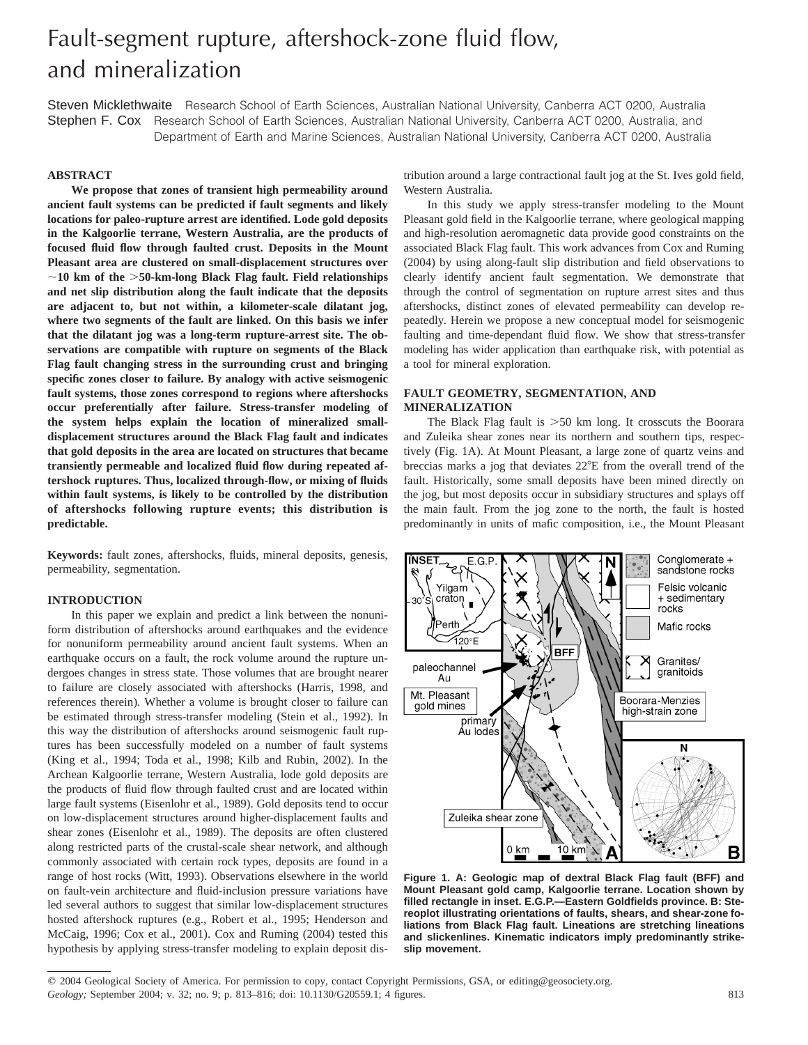# Fault-segment rupture, aftershock-zone fluid flow, and mineralization

Steven Micklethwaite Research School of Earth Sciences, Australian National University, Canberra ACT 0200, Australia Stephen F. Cox Research School of Earth Sciences, Australian National University, Canberra ACT 0200, Australia, and Department of Earth and Marine Sciences, Australian National University, Canberra ACT 0200, Australia

# **ABSTRACT**

**We propose that zones of transient high permeability around ancient fault systems can be predicted if fault segments and likely locations for paleo-rupture arrest are identified. Lode gold deposits in the Kalgoorlie terrane, Western Australia, are the products of focused fluid flow through faulted crust. Deposits in the Mount Pleasant area are clustered on small-displacement structures over**  $\sim$ 10 km of the >50-km-long Black Flag fault. Field relationships **and net slip distribution along the fault indicate that the deposits are adjacent to, but not within, a kilometer-scale dilatant jog, where two segments of the fault are linked. On this basis we infer that the dilatant jog was a long-term rupture-arrest site. The observations are compatible with rupture on segments of the Black Flag fault changing stress in the surrounding crust and bringing specific zones closer to failure. By analogy with active seismogenic fault systems, those zones correspond to regions where aftershocks occur preferentially after failure. Stress-transfer modeling of the system helps explain the location of mineralized smalldisplacement structures around the Black Flag fault and indicates that gold deposits in the area are located on structures that became transiently permeable and localized fluid flow during repeated aftershock ruptures. Thus, localized through-flow, or mixing of fluids within fault systems, is likely to be controlled by the distribution of aftershocks following rupture events; this distribution is predictable.**

**Keywords:** fault zones, aftershocks, fluids, mineral deposits, genesis, permeability, segmentation.

## **INTRODUCTION**

In this paper we explain and predict a link between the nonuniform distribution of aftershocks around earthquakes and the evidence for nonuniform permeability around ancient fault systems. When an earthquake occurs on a fault, the rock volume around the rupture undergoes changes in stress state. Those volumes that are brought nearer to failure are closely associated with aftershocks (Harris, 1998, and references therein). Whether a volume is brought closer to failure can be estimated through stress-transfer modeling (Stein et al., 1992). In this way the distribution of aftershocks around seismogenic fault ruptures has been successfully modeled on a number of fault systems (King et al., 1994; Toda et al., 1998; Kilb and Rubin, 2002). In the Archean Kalgoorlie terrane, Western Australia, lode gold deposits are the products of fluid flow through faulted crust and are located within large fault systems (Eisenlohr et al., 1989). Gold deposits tend to occur on low-displacement structures around higher-displacement faults and shear zones (Eisenlohr et al., 1989). The deposits are often clustered along restricted parts of the crustal-scale shear network, and although commonly associated with certain rock types, deposits are found in a range of host rocks (Witt, 1993). Observations elsewhere in the world on fault-vein architecture and fluid-inclusion pressure variations have led several authors to suggest that similar low-displacement structures hosted aftershock ruptures (e.g., Robert et al., 1995; Henderson and McCaig, 1996; Cox et al., 2001). Cox and Ruming (2004) tested this hypothesis by applying stress-transfer modeling to explain deposit distribution around a large contractional fault jog at the St. Ives gold field, Western Australia.

In this study we apply stress-transfer modeling to the Mount Pleasant gold field in the Kalgoorlie terrane, where geological mapping and high-resolution aeromagnetic data provide good constraints on the associated Black Flag fault. This work advances from Cox and Ruming (2004) by using along-fault slip distribution and field observations to clearly identify ancient fault segmentation. We demonstrate that through the control of segmentation on rupture arrest sites and thus aftershocks, distinct zones of elevated permeability can develop repeatedly. Herein we propose a new conceptual model for seismogenic faulting and time-dependant fluid flow. We show that stress-transfer modeling has wider application than earthquake risk, with potential as a tool for mineral exploration.

# **FAULT GEOMETRY, SEGMENTATION, AND MINERALIZATION**

The Black Flag fault is  $>50$  km long. It crosscuts the Boorara and Zuleika shear zones near its northern and southern tips, respectively (Fig. 1A). At Mount Pleasant, a large zone of quartz veins and breccias marks a jog that deviates  $22^{\circ}E$  from the overall trend of the fault. Historically, some small deposits have been mined directly on the jog, but most deposits occur in subsidiary structures and splays off the main fault. From the jog zone to the north, the fault is hosted predominantly in units of mafic composition, i.e., the Mount Pleasant



**Figure 1. A: Geologic map of dextral Black Flag fault (BFF) and Mount Pleasant gold camp, Kalgoorlie terrane. Location shown by filled rectangle in inset. E.G.P.—Eastern Goldfields province. B: Stereoplot illustrating orientations of faults, shears, and shear-zone foliations from Black Flag fault. Lineations are stretching lineations and slickenlines. Kinematic indicators imply predominantly strikeslip movement.**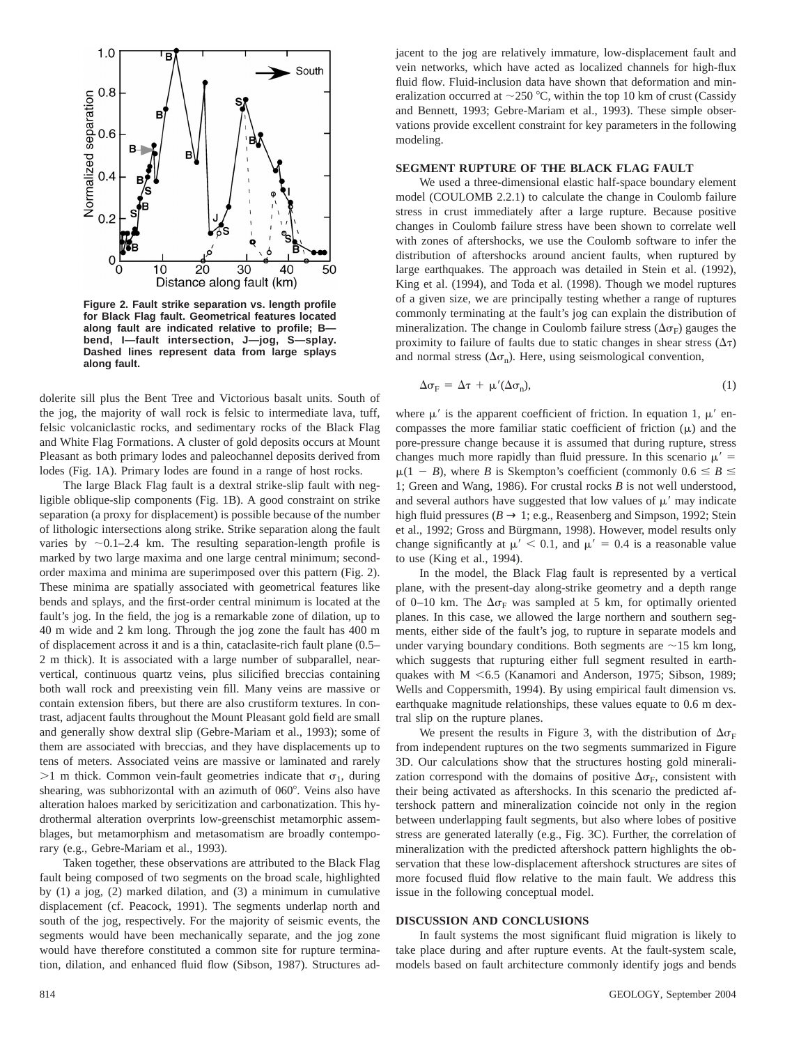

**Figure 2. Fault strike separation vs. length profile for Black Flag fault. Geometrical features located along fault are indicated relative to profile; B bend, I—fault intersection, J—jog, S—splay. Dashed lines represent data from large splays along fault.**

dolerite sill plus the Bent Tree and Victorious basalt units. South of the jog, the majority of wall rock is felsic to intermediate lava, tuff, felsic volcaniclastic rocks, and sedimentary rocks of the Black Flag and White Flag Formations. A cluster of gold deposits occurs at Mount Pleasant as both primary lodes and paleochannel deposits derived from lodes (Fig. 1A). Primary lodes are found in a range of host rocks.

The large Black Flag fault is a dextral strike-slip fault with negligible oblique-slip components (Fig. 1B). A good constraint on strike separation (a proxy for displacement) is possible because of the number of lithologic intersections along strike. Strike separation along the fault varies by  $\sim$  0.1–2.4 km. The resulting separation-length profile is marked by two large maxima and one large central minimum; secondorder maxima and minima are superimposed over this pattern (Fig. 2). These minima are spatially associated with geometrical features like bends and splays, and the first-order central minimum is located at the fault's jog. In the field, the jog is a remarkable zone of dilation, up to 40 m wide and 2 km long. Through the jog zone the fault has 400 m of displacement across it and is a thin, cataclasite-rich fault plane (0.5– 2 m thick). It is associated with a large number of subparallel, nearvertical, continuous quartz veins, plus silicified breccias containing both wall rock and preexisting vein fill. Many veins are massive or contain extension fibers, but there are also crustiform textures. In contrast, adjacent faults throughout the Mount Pleasant gold field are small and generally show dextral slip (Gebre-Mariam et al., 1993); some of them are associated with breccias, and they have displacements up to tens of meters. Associated veins are massive or laminated and rarely  $>1$  m thick. Common vein-fault geometries indicate that  $\sigma_1$ , during shearing, was subhorizontal with an azimuth of 060°. Veins also have alteration haloes marked by sericitization and carbonatization. This hydrothermal alteration overprints low-greenschist metamorphic assemblages, but metamorphism and metasomatism are broadly contemporary (e.g., Gebre-Mariam et al., 1993).

Taken together, these observations are attributed to the Black Flag fault being composed of two segments on the broad scale, highlighted by (1) a jog, (2) marked dilation, and (3) a minimum in cumulative displacement (cf. Peacock, 1991). The segments underlap north and south of the jog, respectively. For the majority of seismic events, the segments would have been mechanically separate, and the jog zone would have therefore constituted a common site for rupture termination, dilation, and enhanced fluid flow (Sibson, 1987). Structures adjacent to the jog are relatively immature, low-displacement fault and vein networks, which have acted as localized channels for high-flux fluid flow. Fluid-inclusion data have shown that deformation and mineralization occurred at  $\sim$ 250 °C, within the top 10 km of crust (Cassidy and Bennett, 1993; Gebre-Mariam et al., 1993). These simple observations provide excellent constraint for key parameters in the following modeling.

### **SEGMENT RUPTURE OF THE BLACK FLAG FAULT**

We used a three-dimensional elastic half-space boundary element model (COULOMB 2.2.1) to calculate the change in Coulomb failure stress in crust immediately after a large rupture. Because positive changes in Coulomb failure stress have been shown to correlate well with zones of aftershocks, we use the Coulomb software to infer the distribution of aftershocks around ancient faults, when ruptured by large earthquakes. The approach was detailed in Stein et al. (1992), King et al. (1994), and Toda et al. (1998). Though we model ruptures of a given size, we are principally testing whether a range of ruptures commonly terminating at the fault's jog can explain the distribution of mineralization. The change in Coulomb failure stress ( $\Delta \sigma_F$ ) gauges the proximity to failure of faults due to static changes in shear stress  $(\Delta \tau)$ and normal stress  $(\Delta \sigma_n)$ . Here, using seismological convention,

$$
\Delta \sigma_{\rm F} = \Delta \tau + \mu'(\Delta \sigma_{\rm n}),\tag{1}
$$

where  $\mu'$  is the apparent coefficient of friction. In equation 1,  $\mu'$  encompasses the more familiar static coefficient of friction  $(\mu)$  and the pore-pressure change because it is assumed that during rupture, stress changes much more rapidly than fluid pressure. In this scenario  $\mu' =$  $\mu(1 - B)$ , where *B* is Skempton's coefficient (commonly  $0.6 \le B \le$ 1; Green and Wang, 1986). For crustal rocks *B* is not well understood, and several authors have suggested that low values of  $\mu'$  may indicate high fluid pressures ( $B \rightarrow 1$ ; e.g., Reasenberg and Simpson, 1992; Stein et al., 1992; Gross and Bürgmann, 1998). However, model results only change significantly at  $\mu' < 0.1$ , and  $\mu' = 0.4$  is a reasonable value to use (King et al., 1994).

In the model, the Black Flag fault is represented by a vertical plane, with the present-day along-strike geometry and a depth range of 0–10 km. The  $\Delta\sigma_F$  was sampled at 5 km, for optimally oriented planes. In this case, we allowed the large northern and southern segments, either side of the fault's jog, to rupture in separate models and under varying boundary conditions. Both segments are  $\sim$ 15 km long, which suggests that rupturing either full segment resulted in earthquakes with  $M < 6.5$  (Kanamori and Anderson, 1975; Sibson, 1989; Wells and Coppersmith, 1994). By using empirical fault dimension vs. earthquake magnitude relationships, these values equate to 0.6 m dextral slip on the rupture planes.

We present the results in Figure 3, with the distribution of  $\Delta\sigma_F$ from independent ruptures on the two segments summarized in Figure 3D. Our calculations show that the structures hosting gold mineralization correspond with the domains of positive  $\Delta\sigma_F$ , consistent with their being activated as aftershocks. In this scenario the predicted aftershock pattern and mineralization coincide not only in the region between underlapping fault segments, but also where lobes of positive stress are generated laterally (e.g., Fig. 3C). Further, the correlation of mineralization with the predicted aftershock pattern highlights the observation that these low-displacement aftershock structures are sites of more focused fluid flow relative to the main fault. We address this issue in the following conceptual model.

#### **DISCUSSION AND CONCLUSIONS**

In fault systems the most significant fluid migration is likely to take place during and after rupture events. At the fault-system scale, models based on fault architecture commonly identify jogs and bends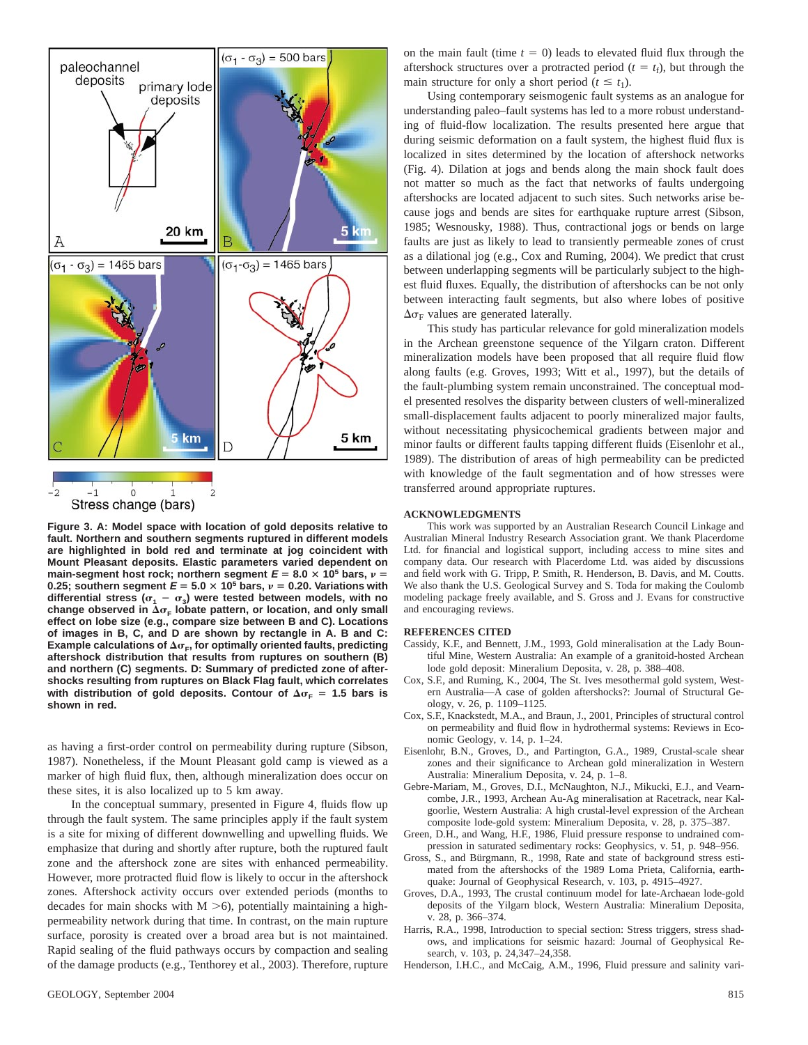

**Figure 3. A: Model space with location of gold deposits relative to fault. Northern and southern segments ruptured in different models are highlighted in bold red and terminate at jog coincident with Mount Pleasant deposits. Elastic parameters varied dependent on main-segment host rock; northern segment**  $E = 8.0 \times 10^5$  **bars,**  $\nu =$ **0.25; southern segment**  $E = 5.0 \times 10^5$  bars,  $\nu = 0.20$ . Variations with differential stress  $(\sigma_1 - \sigma_3)$  were tested between models, with no change observed in  $\Delta\sigma_F$  lobate pattern, or location, and only small **effect on lobe size (e.g., compare size between B and C). Locations of images in B, C, and D are shown by rectangle in A. B and C:** Example calculations of  $\Delta\sigma_F$ , for optimally oriented faults, predicting **aftershock distribution that results from ruptures on southern (B) and northern (C) segments. D: Summary of predicted zone of aftershocks resulting from ruptures on Black Flag fault, which correlates** with distribution of gold deposits. Contour of  $\Delta\sigma_F = 1.5$  bars is **shown in red.**

as having a first-order control on permeability during rupture (Sibson, 1987). Nonetheless, if the Mount Pleasant gold camp is viewed as a marker of high fluid flux, then, although mineralization does occur on these sites, it is also localized up to 5 km away.

In the conceptual summary, presented in Figure 4, fluids flow up through the fault system. The same principles apply if the fault system is a site for mixing of different downwelling and upwelling fluids. We emphasize that during and shortly after rupture, both the ruptured fault zone and the aftershock zone are sites with enhanced permeability. However, more protracted fluid flow is likely to occur in the aftershock zones. Aftershock activity occurs over extended periods (months to decades for main shocks with  $M > 6$ ), potentially maintaining a highpermeability network during that time. In contrast, on the main rupture surface, porosity is created over a broad area but is not maintained. Rapid sealing of the fluid pathways occurs by compaction and sealing of the damage products (e.g., Tenthorey et al., 2003). Therefore, rupture

on the main fault (time  $t = 0$ ) leads to elevated fluid flux through the aftershock structures over a protracted period ( $t = t_f$ ), but through the main structure for only a short period ( $t \leq t_1$ ).

Using contemporary seismogenic fault systems as an analogue for understanding paleo–fault systems has led to a more robust understanding of fluid-flow localization. The results presented here argue that during seismic deformation on a fault system, the highest fluid flux is localized in sites determined by the location of aftershock networks (Fig. 4). Dilation at jogs and bends along the main shock fault does not matter so much as the fact that networks of faults undergoing aftershocks are located adjacent to such sites. Such networks arise because jogs and bends are sites for earthquake rupture arrest (Sibson, 1985; Wesnousky, 1988). Thus, contractional jogs or bends on large faults are just as likely to lead to transiently permeable zones of crust as a dilational jog (e.g., Cox and Ruming, 2004). We predict that crust between underlapping segments will be particularly subject to the highest fluid fluxes. Equally, the distribution of aftershocks can be not only between interacting fault segments, but also where lobes of positive  $\Delta \sigma_F$  values are generated laterally.

This study has particular relevance for gold mineralization models in the Archean greenstone sequence of the Yilgarn craton. Different mineralization models have been proposed that all require fluid flow along faults (e.g. Groves, 1993; Witt et al., 1997), but the details of the fault-plumbing system remain unconstrained. The conceptual model presented resolves the disparity between clusters of well-mineralized small-displacement faults adjacent to poorly mineralized major faults, without necessitating physicochemical gradients between major and minor faults or different faults tapping different fluids (Eisenlohr et al., 1989). The distribution of areas of high permeability can be predicted with knowledge of the fault segmentation and of how stresses were transferred around appropriate ruptures.

### **ACKNOWLEDGMENTS**

This work was supported by an Australian Research Council Linkage and Australian Mineral Industry Research Association grant. We thank Placerdome Ltd. for financial and logistical support, including access to mine sites and company data. Our research with Placerdome Ltd. was aided by discussions and field work with G. Tripp, P. Smith, R. Henderson, B. Davis, and M. Coutts. We also thank the U.S. Geological Survey and S. Toda for making the Coulomb modeling package freely available, and S. Gross and J. Evans for constructive and encouraging reviews.

#### **REFERENCES CITED**

- Cassidy, K.F., and Bennett, J.M., 1993, Gold mineralisation at the Lady Bountiful Mine, Western Australia: An example of a granitoid-hosted Archean lode gold deposit: Mineralium Deposita, v. 28, p. 388–408.
- Cox, S.F., and Ruming, K., 2004, The St. Ives mesothermal gold system, Western Australia—A case of golden aftershocks?: Journal of Structural Geology, v. 26, p. 1109–1125.
- Cox, S.F., Knackstedt, M.A., and Braun, J., 2001, Principles of structural control on permeability and fluid flow in hydrothermal systems: Reviews in Economic Geology, v. 14, p. 1–24.
- Eisenlohr, B.N., Groves, D., and Partington, G.A., 1989, Crustal-scale shear zones and their significance to Archean gold mineralization in Western Australia: Mineralium Deposita, v. 24, p. 1–8.
- Gebre-Mariam, M., Groves, D.I., McNaughton, N.J., Mikucki, E.J., and Vearncombe, J.R., 1993, Archean Au-Ag mineralisation at Racetrack, near Kalgoorlie, Western Australia: A high crustal-level expression of the Archean composite lode-gold system: Mineralium Deposita, v. 28, p. 375–387.
- Green, D.H., and Wang, H.F., 1986, Fluid pressure response to undrained compression in saturated sedimentary rocks: Geophysics, v. 51, p. 948–956.
- Gross, S., and Bürgmann, R., 1998, Rate and state of background stress estimated from the aftershocks of the 1989 Loma Prieta, California, earthquake: Journal of Geophysical Research, v. 103, p. 4915–4927.
- Groves, D.A., 1993, The crustal continuum model for late-Archaean lode-gold deposits of the Yilgarn block, Western Australia: Mineralium Deposita, v. 28, p. 366–374.
- Harris, R.A., 1998, Introduction to special section: Stress triggers, stress shadows, and implications for seismic hazard: Journal of Geophysical Research, v. 103, p. 24,347–24,358.
- Henderson, I.H.C., and McCaig, A.M., 1996, Fluid pressure and salinity vari-